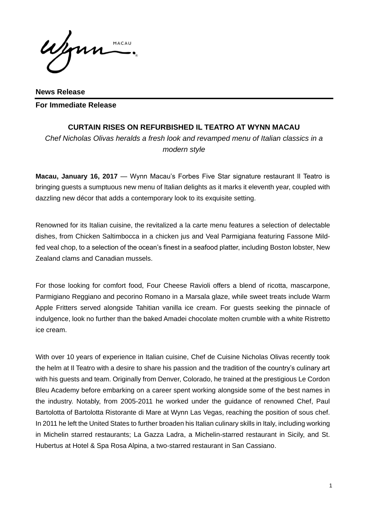MACAU

**News Release For Immediate Release** 

## **CURTAIN RISES ON REFURBISHED IL TEATRO AT WYNN MACAU**

*Chef Nicholas Olivas heralds a fresh look and revamped menu of Italian classics in a modern style*

**Macau, January 16, 2017** — Wynn Macau's Forbes Five Star signature restaurant Il Teatro is bringing guests a sumptuous new menu of Italian delights as it marks it eleventh year, coupled with dazzling new décor that adds a contemporary look to its exquisite setting.

Renowned for its Italian cuisine, the revitalized a la carte menu features a selection of delectable dishes, from Chicken Saltimbocca in a chicken jus and Veal Parmigiana featuring Fassone Mildfed veal chop, to a selection of the ocean's finest in a seafood platter, including Boston lobster, New Zealand clams and Canadian mussels.

For those looking for comfort food, Four Cheese Ravioli offers a blend of ricotta, mascarpone, Parmigiano Reggiano and pecorino Romano in a Marsala glaze, while sweet treats include Warm Apple Fritters served alongside Tahitian vanilla ice cream. For guests seeking the pinnacle of indulgence, look no further than the baked Amadei chocolate molten crumble with a white Ristretto ice cream.

With over 10 years of experience in Italian cuisine, Chef de Cuisine Nicholas Olivas recently took the helm at Il Teatro with a desire to share his passion and the tradition of the country's culinary art with his guests and team. Originally from Denver, Colorado, he trained at the prestigious Le Cordon Bleu Academy before embarking on a career spent working alongside some of the best names in the industry. Notably, from 2005-2011 he worked under the guidance of renowned Chef, Paul Bartolotta of Bartolotta Ristorante di Mare at Wynn Las Vegas, reaching the position of sous chef. In 2011 he left the United States to further broaden his Italian culinary skills in Italy, including working in Michelin starred restaurants; La Gazza Ladra, a Michelin-starred restaurant in Sicily, and St. Hubertus at Hotel & Spa Rosa Alpina, a two-starred restaurant in San Cassiano.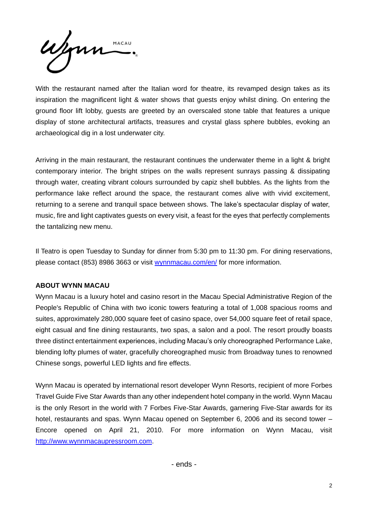Wynn MACAU

With the restaurant named after the Italian word for theatre, its revamped design takes as its inspiration the magnificent light & water shows that guests enjoy whilst dining. On entering the ground floor lift lobby, guests are greeted by an overscaled stone table that features a unique display of stone architectural artifacts, treasures and crystal glass sphere bubbles, evoking an archaeological dig in a lost underwater city.

Arriving in the main restaurant, the restaurant continues the underwater theme in a light & bright contemporary interior. The bright stripes on the walls represent sunrays passing & dissipating through water, creating vibrant colours surrounded by capiz shell bubbles. As the lights from the performance lake reflect around the space, the restaurant comes alive with vivid excitement, returning to a serene and tranquil space between shows. The lake's spectacular display of water, music, fire and light captivates guests on every visit, a feast for the eyes that perfectly complements the tantalizing new menu.

Il Teatro is open Tuesday to Sunday for dinner from 5:30 pm to 11:30 pm. For dining reservations, please contact (853) 8986 3663 or visit [wynnmacau.com/en/](http://www.wynnmacau.com/en/) for more information.

## **ABOUT WYNN MACAU**

Wynn Macau is a luxury hotel and casino resort in the Macau Special Administrative Region of the People's Republic of China with two iconic towers featuring a total of 1,008 spacious rooms and suites, approximately 280,000 square feet of casino space, over 54,000 square feet of retail space, eight casual and fine dining restaurants, two spas, a salon and a pool. The resort proudly boasts three distinct entertainment experiences, including Macau's only choreographed Performance Lake, blending lofty plumes of water, gracefully choreographed music from Broadway tunes to renowned Chinese songs, powerful LED lights and fire effects.

Wynn Macau is operated by international resort developer Wynn Resorts, recipient of more Forbes Travel Guide Five Star Awards than any other independent hotel company in the world. Wynn Macau is the only Resort in the world with 7 Forbes Five-Star Awards, garnering Five-Star awards for its hotel, restaurants and spas. Wynn Macau opened on September 6, 2006 and its second tower – Encore opened on April 21, 2010. For more information on Wynn Macau, visit [http://www.wynnmacaupressroom.com.](http://www.wynnmacaupressroom.com/)